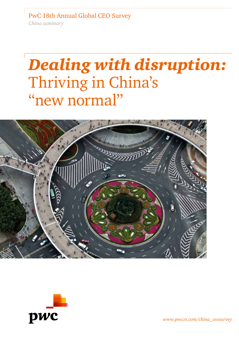PwC 18th Annual Global CEO Survey *China summary*

# *Dealing with disruption:* Thriving in China's "new normal''





*www.pwccn.com/china\_ceosurvey*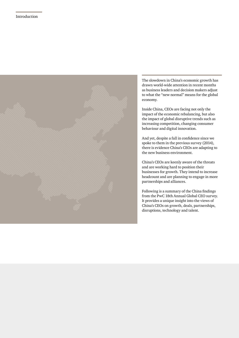

The slowdown in China's economic growth has drawn world-wide attention in recent months as business leaders and decision makers adjust to what the ''new normal'' means for the global economy.

Inside China, CEOs are facing not only the impact of the economic rebalancing, but also the impact of global disruptive trends such as increasing competition, changing consumer behaviour and digital innovation.

And yet, despite a fall in confidence since we spoke to them in the previous survey (2014), there is evidence China's CEOs are adapting to the new business environment.

China's CEOs are keenly aware of the threats and are working hard to position their businesses for growth. They intend to increase headcount and are planning to engage in more partnerships and alliances.

Following is a summary of the China findings from the PwC 18th Annual Global CEO survey. It provides a unique insight into the views of China's CEOs on growth, deals, partnerships, disruptions, technology and talent.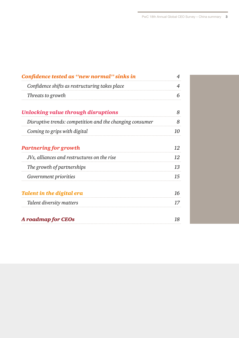| Confidence tested as "new normal" sinks in               |    |
|----------------------------------------------------------|----|
| Confidence shifts as restructuring takes place           | 4  |
| Threats to growth                                        | 6  |
| Unlocking value through disruptions                      | 8  |
| Disruptive trends: competition and the changing consumer | 8  |
| Coming to grips with digital                             | 10 |
| <b>Partnering for growth</b>                             | 12 |
| JVs, alliances and restructures on the rise              | 12 |
| The growth of partnerships                               | 13 |
| <i>Government priorities</i>                             | 15 |
| Talent in the digital era                                | 16 |
| Talent diversity matters                                 | 17 |
| <b>A</b> roadmap for CEOs                                | 18 |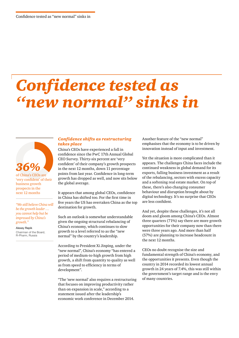## *Confidence tested as ''new normal'' sinks in*



of China's CEOs are 'very confident' of their business growth prospects in the next 12 months

*"We still believe China will be the growth leader … you cannot help but be impressed by China's growth."*

Alexey Repik Chairman of the Board, R-Pharm, Russia

## *Confidence shifts as restructuring takes place*

China's CEOs have experienced a fall in confidence since the PwC 17th Annual Global CEO Survey. Thirty-six percent are 'very confident' of their company's growth prospects in the next 12 months, down 11 percentage points from last year. Confidence in long-term growth has dropped as well, and now sits below the global average.

It appears that among global CEOs, confidence in China has shifted too. For the first time in five years the US has overtaken China as the top destination for growth.

Such an outlook is somewhat understandable given the ongoing structural rebalancing of China's economy, which continues to slow growth to a level referred to as the ''new normal'' by the country's leadership.

According to President Xi Jinping, under the "new normal", China's economy "has entered a period of medium-to-high growth from high growth, a shift from quantity to quality as well as from speed to efficiency in terms of development".

"The 'new normal' also requires a restructuring that focuses on improving productivity rather than on expansion in scale," according to a statement issued after the leadership's economic work conference in December 2014.

Another feature of the "new normal" emphasises that the economy is to be driven by innovation instead of input and investment.

Yet the situation is more complicated than it appears. The challenges China faces include the continued weakness in global demand for its exports, falling business investment as a result of the rebalancing, sectors with excess capacity and a softening real estate market. On top of these, there's also changing consumer behaviour and disruption brought about by digital technology. It's no surprise that CEOs are less confident.

And yet, despite these challenges, it's not all doom and gloom among China's CEOs. Almost three quarters (71%) say there are more growth opportunities for their company now than there were three years ago. And more than half (57%) are planning to increase headcount in the next 12 months.

CEOs no doubt recognise the size and fundamental strength of China's economy, and the opportunities it presents. Even though the country in 2014 recorded its lowest annual growth in 24 years of 7.4%, this was still within the government's target range and is the envy of many countries.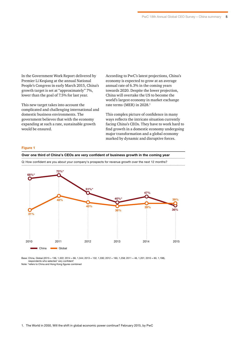In the Government Work Report delivered by Premier Li Keqiang at the annual National People's Congress in early March 2015, China's growth target is set at "approximately" 7%, lower than the goal of 7.5% for last year.

This new target takes into account the complicated and challenging international and domestic business environments. The government believes that with the economy expanding at such a rate, sustainable growth would be ensured.

According to PwC's latest projections, China's economy is expected to grow at an average annual rate of 6.3% in the coming years towards 2020. Despite the lower projection, China will overtake the US to become the world's largest economy in market exchange rate terms (MER) in 2028.<sup>1</sup>

This complex picture of confidence in many ways reflects the intricate situation currently facing China's CEOs. They have to work hard to find growth in a domestic economy undergoing major transformation and a global economy marked by dynamic and disruptive forces.

## **Figure 1**

**Over one third of China's CEOs are very confident of business growth in the coming year**

Q: How confident are you about your company's prospects for revenue growth over the next 12 months?



Base: China, Global (2015 = 136, 1,322; 2014 = 66, 1,344; 2013 = 132, 1,330; 2012 = 160, 1,258; 2011 = 46, 1,201; 2010 = 60, 1,198), respondents who selected 'very confident'

Note: \*refers to China and Hong Kong figures combined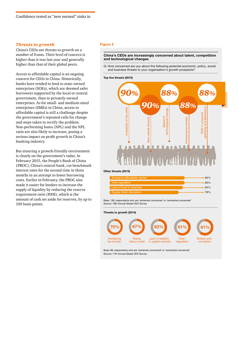### *Threats to growth*

China's CEOs see threats to growth on a number of fronts. Their level of concern is higher than it was last year and generally higher than that of their global peers.

Access to affordable capital is an ongoing concern for CEOs in China. Historically, banks have tended to lend to state-owned enterprises (SOEs), which are deemed safer borrowers supported by the local or central government, than to privately-owned enterprises. As for small- and medium-sized enterprises (SMEs) in China, access to affordable capital is still a challenge despite the government's repeated calls for change and steps taken to rectify the problem. Non-performing loans (NPL) and the NPL ratio are also likely to increase, posing a serious impact on profit growth in China's banking industry.

But ensuring a growth-friendly environment is clearly on the government's radar. In February 2015, the People's Bank of China (PBOC), China's central bank, cut benchmark interest rates for the second time in three months in an attempt to lower borrowing costs. Earlier in February, the PBOC also made it easier for lenders to increase the supply of liquidity by reducing the reserve requirement ratio (RRR), which is the amount of cash set aside for reserves, by up to 100 basis points.

#### **Figure 2**

#### **China's CEOs are increasingly concerned about talent, competition and technological changes** . . . . . .

Q: How concerned are you about the following potential economic, policy, social and business threats to your organisation's growth prospects?

#### **Top five threats (2015)**



#### **Other threats (2015)**

| Access to affordable capital |             |
|------------------------------|-------------|
| Over-regulation              | 85%         |
| Lack of trust in business    | $\cdot$ 83% |
| Supply chain disruption      |             |

Source: 18th Annual Global CEO Survey

#### **Threats to growth (2014)**



Source: 17th Annual Global CEO Survey Base: 66; respondents who are 'extremely concerned' or 'somewhat concerned'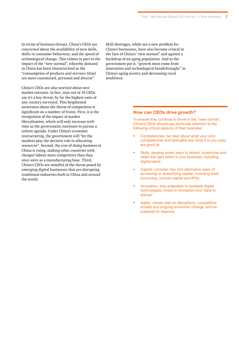In terms of business threats, China's CEOs are concerned about the availability of new skills, shifts in consumer behaviour, and the speed of technological change. This relates in part to the impact of the "new normal", whereby demand in China has been characterised as the "consumption of products and services (that) are more customised, personal and diverse".

China's CEOs are also worried about new market entrants. In fact, nine out of 10 CEOs say it's a key threat, by far the highest ratio of any country surveyed. This heightened awareness about the threat of competition is significant on a number of fronts. First, it is the recognition of the impact of market liberalisation, which will only increase with time as the government continues to pursue a reform agenda. Under China's economic restructuring, the government will "let the markets play the decisive role in allocating resources". Second, the cost of doing business in China is rising, making other countries with cheaper labour more competitive than they once were as a manufacturing base. Third, China's CEOs are mindful of the threat posed by emerging digital businesses that are disrupting traditional industries both in China and around the world.

Skill shortages, while not a new problem for China's businesses, have also become critical in the face of China's ''new normal'' and against a backdrop of an aging population. And as the government put it, "growth must come from innovation and technological breakthroughs" in China's aging society and decreasing rural workforce.

## **How can CEOs drive growth?**

To ensure they continue to thrive in the ''new normal'', China's CEOs should pay particular attention to the following critical aspects of their business:

- Competencies: be clear about what your core competencies and strengths are, what it is you really are good at.
- Skills: develop smart ways to attract, incentivise and retain the right talent in your business, including digital talent.
- Capital: consider new and alternative ways of accessing or diversifying capital, including bank borrowing, venture capital and IPOs.
- Innovation: stay adaptable to available digital technologies, invest in innovation and "dare to disrupt".
- Agility: remain alert to disruptions, competitive threats and ongoing economic change, and be prepared to respond.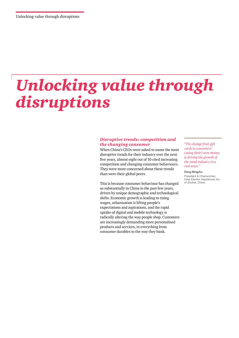## *Unlocking value through disruptions*

## *Disruptive trends: competition and the changing consumer*

When China's CEOs were asked to name the most disruptive trends for their industry over the next five years, almost eight out of 10 cited increasing competition and changing consumer behaviours. They were more concerned about these trends than were their global peers.

This is because consumer behaviour has changed so substantially in China in the past few years, driven by unique demographic and technological shifts. Economic growth is leading to rising wages, urbanisation is lifting people's expectations and aspirations, and the rapid uptake of digital and mobile technology is radically altering the way people shop. Customers are increasingly demanding more personalised products and services, in everything from consumer durables to the way they bank.

*"The change from gift cards to consumers' (using their) own money is driving the growth of the retail industry in a real sense."*

Dong Mingzhu President & Chairwoman,

Gree Electric Appliances Inc. of Zhuhai, China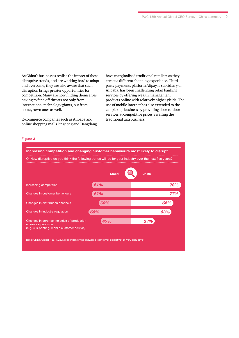As China's businesses realise the impact of these disruptive trends, and are working hard to adapt and overcome, they are also aware that such disruption brings greater opportunities for competition. Many are now finding themselves having to fend off threats not only from international technology giants, but from homegrown ones as well.

E-commerce companies such as Alibaba and online shopping malls Jingdong and Dangdang have marginalised traditional retailers as they create a different shopping experience. Thirdparty payments platform Alipay, a subsidiary of Alibaba, has been challenging retail banking services by offering wealth management products online with relatively higher yields. The use of mobile internet has also extended to the car pick-up business by providing door-to-door services at competitive prices, rivalling the traditional taxi business.

## **Figure 3**

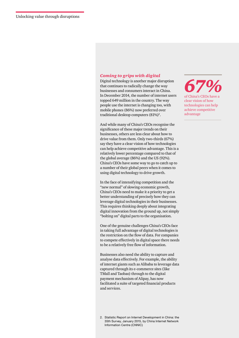## *Coming to grips with digital*

Digital technology is another major disruption that continues to radically change the way businesses and consumers interact in China. In December 2014, the number of internet users topped 649 million in the country. The way people use the internet is changing too, with mobile phones (86%) now preferred over traditional desktop computers (81%)<sup>2</sup>.

And while many of China's CEOs recognise the significance of these major trends on their businesses, others are less clear about how to drive value from them. Only two-thirds (67%) say they have a clear vision of how technologies can help achieve competitive advantage. This is a relatively lower percentage compared to that of the global average (86%) and the US (92%). China's CEOs have some way to go to catch up to a number of their global peers when it comes to using digital technology to drive growth.

In the face of intensifying competition and the "new normal" of slowing economic growth, China's CEOs need to make it a priority to get a better understanding of precisely how they can leverage digital technologies in their businesses. This requires thinking deeply about integrating digital innovation from the ground up, not simply "bolting on" digital parts to the organisation.

One of the genuine challenges China's CEOs face in taking full advantage of digital technologies is the restriction on the flow of data. For companies to compete effectively in digital space there needs to be a relatively free flow of information.

Businesses also need the ability to capture and analyse data effectively. For example, the ability of internet giants such as Alibaba to leverage data captured through its e-commerce sites (like TMall and Taobao) through to the digital payment mechanism of Alipay, has now facilitated a suite of targeted financial products and services.

*67%* of China's CEOs have a clear vision of how technologies can help achieve competitive advantage

2. Statistic Report on Internet Development in China: the 35th Survey, January 2015, by China Internet Network Information Centre (CNNIC)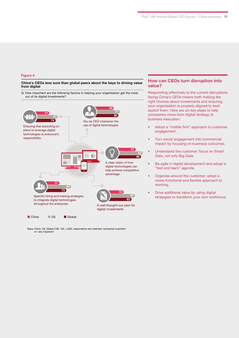## **Figure 4**

#### **China's CEOs less sure than global peers about the keys to driving value from digital**

Q: How important are the following factors in helping your organisation get the most out of its digital investments? 



Base: China, US, Global (136, 103, 1,322), respondents who selected 'somewhat important' or 'very important'

## **How can CEOs turn disruption into value?**

Responding effectively to the current disruptions facing China's CEOs means both making the right choices about investments and ensuring your organisation is properly aligned to best exploit them. Here are six key steps to help companies move from digital strategy to business execution:

- Adopt a "mobile first" approach to customer engagement.
- Turn social engagement into commercial impact by focusing on business outcomes.
- Understand the customer; focus on Smart Data, not only Big Data.
- Be agile in digital development and adopt a "test and learn" agenda.
- Organise around the customer; adopt a cross-functional and flexible approach to working.
- Drive additional value by using digital strategies to transform your own workforce.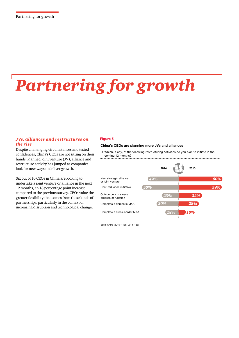# *Partnering for growth*

## *JVs, alliances and restructures on the rise*

Despite challenging circumstances and tested confidences, China's CEOs are not sitting on their hands. Planned joint venture (JV), alliance and restructure activity has jumped as companies look for new ways to deliver growth.

Six out of 10 CEOs in China are looking to undertake a joint venture or alliance in the next 12 months, an 18 percentage point increase compared to the previous survey. CEOs value the greater flexibility that comes from these kinds of partnerships, particularly in the context of increasing disruption and technological change.

## **Figure 5**

## **China's CEOs are planning more JVs and alliances**

Q: Which, if any, of the following restructuring activities do you plan to initiate in the coming 12 months?



Base: China (2015 = 136; 2014 = 66)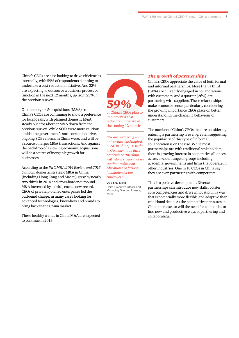China's CEOs are also looking to drive efficiencies internally, with 59% of respondents planning to undertake a cost-reduction initiative. And 32% are expecting to outsource a business process or function in the next 12 months, up from 23% in the previous survey.

On the mergers & acquisitions (M&A) front, China's CEOs are continuing to show a preference for local deals, with planned domestic M&A steady but cross-border M&A down from the previous survey. While SOEs were more cautious amidst the government's anti-corruption drive, ongoing SOE reforms in China were, and will be, a source of larger M&A transactions. And against the backdrop of a slowing economy, acquisitions will be a source of inorganic growth for businesses.

According to the *PwC M&A 2014 Review and 2015 Outlook*, domestic strategic M&A in China (including Hong Kong and Macau) grew by nearly two thirds in 2014 and cross-border outbound M&A increased by a third, each a new record. CEOs of privately-owned enterprises led the outbound charge, in many cases looking for advanced technologies, know-how and brands to bring back to the China market.

These healthy trends in China M&A are expected to continue in 2015.



of China's CEOs plan to implement a costreduction initiative in the coming 12 months

*"We are partnering with universities like Stanford, ECNU in China, TU Berlin in Germany … all these academic partnerships will help us ensure that we continue to focus on education as a lifelong foundation for our employees."*

#### Dr. Vishal Sikka

Chief Executive Officer and Managing Director, Infosys, India

## *The growth of partnerships*

China's CEOs appreciate the value of both formal and informal partnerships. More than a third (34%) are currently engaged in collaborations with customers, and a quarter (26%) are partnering with suppliers. These relationships make economic sense, particularly considering the growing importance CEOs place on better understanding the changing behaviour of customers.

The number of China's CEOs that are considering entering a partnership is even greater, suggesting the popularity of this type of informal collaboration is on the rise. While most partnerships are with traditional stakeholders, there is growing interest in cooperative alliances across a wider range of groups including academia, governments and firms that operate in other industries. One in 10 CEOs in China say they are even partnering with competitors.

This is a positive development. Diverse partnerships can introduce new skills, bolster core competencies and drive innovation in a way that is potentially more flexible and adaptive than traditional deals. As the competitive pressures in China increase, so will the need for companies to find new and productive ways of partnering and collaborating.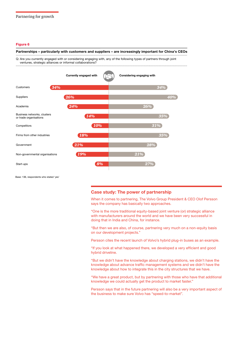#### **Figure 6**

#### **Partnerships – particularly with customers and suppliers – are increasingly important for China's CEOs**

Q: Are you currently engaged with or considering engaging with, any of the following types of partners through joint ventures, strategic alliances or informal collaborations?



Base: 136, respondents who stated 'yes'

## **Case study: The power of partnership**

When it comes to partnering, The Volvo Group President & CEO Olof Persson says the company has basically two approaches.

"One is the more traditional equity-based joint venture (or) strategic alliance with manufacturers around the world and we have been very successful in doing that in India and China, for instance.

"But then we are also, of course, partnering very much on a non-equity basis on our development projects."

Persson cites the recent launch of Volvo's hybrid plug-in buses as an example.

"If you look at what happened there, we developed a very efficient and good hybrid driveline.

"But we didn't have the knowledge about charging stations, we didn't have the knowledge about advance traffic management systems and we didn't have the knowledge about how to integrate this in the city structures that we have.

"We have a great product, but by partnering with those who have that additional knowledge we could actually get the product to market faster."

Persson says that in the future partnering will also be a very important aspect of the business to make sure Volvo has "speed-to-market".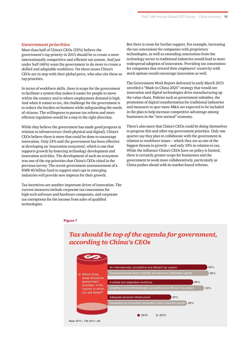## *Government priorities*

More than half of China's CEOs (55%) believe the government's top priority in 2015 should be to create a more internationally competitive and efficient tax system. And just under half (46%) want the government to do more to create a skilled and adaptable workforce. On these issues China's CEOs are in step with their global peers, who also cite these as top priorities.

In terms of workforce skills, there is scope for the government to facilitate a system that makes it easier for people to move within the country and to where employment demand is high. And when it comes to tax, the challenge for the government is to reduce the burden on business while safeguarding the needs of citizens. The willingness to pursue tax reform and more efficient regulation would be a step in the right direction.

While they believe the government has made good progress in relation to infrastructure (both physical and digital), China's CEOs believe there is more that could be done to encourage innovation. Only 21% said the government has been effective at developing an 'innovation ecosystem', which is one that supports growth by fostering technology development and innovation activities. The development of such an ecosystem was one of the top priorities that China's CEOs citied in the previous survey. The recent government announcement of a RMB 40 billion fund to support start-ups in emerging industries will provide new impetus for their growth.

Tax incentives are another important driver of innovation. The current measures include corporate tax concessions for high-tech software and hardware companies, and corporate tax exemptions for the income from sales of qualified technologies.

But there is room for further support. For example, increasing the tax concessions for companies with proprietary technologies, as well as extending concessions from the technology sector to traditional industries would lead to more widespread adoption of innovation. Providing tax concessions for companies that reward their employees' creativity with stock options would encourage innovation as well.

The Government Work Report delivered in early March 2015 unveiled a "Made in China 2025" strategy that would see innovation and digital technologies drive manufacturing up the value chain. Policies such as government subsidies, the promotion of digital transformation for traditional industries and measures to spur more M&A are expected to be included in the plan to help increase competitive advantage among businesses in the "new normal" economy.

There's also more that China's CEOs could be doing themselves to progress this and other top government priorities. Only one quarter say they plan to collaborate with the government in relation to workforce issues – which they see as one of the biggest threats to growth – and only 10% in relation to tax. While the influence China's CEOs have on policy is limited, there is certainly greater scope for businesses and the government to work more collaboratively, particularly as China pushes ahead with its market-based reforms.

#### **Figure 7**



## *Tax should be top of the agenda for government, according to China's CEOs*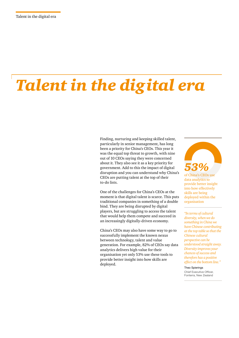# *Talent in the digital era*

Finding, nurturing and keeping skilled talent, particularly in senior management, has long been a priority for China's CEOs. This year it was the equal top threat to growth, with nine out of 10 CEOs saying they were concerned about it. They also see it as a key priority for government. Add to this the impact of digital disruption and you can understand why China's CEOs are putting talent at the top of their to-do lists.

One of the challenges for China's CEOs at the moment is that digital talent is scarce. This puts traditional companies in something of a double bind. They are being disrupted by digital players, but are struggling to access the talent that would help them compete and succeed in an increasingly digitally-driven economy.

China's CEOs may also have some way to go to successfully implement the known nexus between technology, talent and value generation. For example, 82% of CEOs say data analytics delivers high value for their organisation yet only 53% use these tools to provide better insight into how skills are deployed.



of China's CEOs use data analytics to provide better insight into how effectively skills are being deployed within the organisation

*"In terms of cultural diversity, when we do something in China we have Chinese contributing at the top table so that the Chinese cultural perspective can be understood straight away. Diversity improves your chances of success and therefore has a positive effect on the bottom line."*

Theo Spierings Chief Executive Officer, Fonterra, New Zealand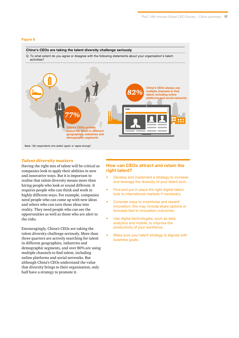#### **Figure 8**

## **China's CEOs are taking the talent diversity challenge seriously**

Q: To what extent do you agree or disagree with the following statements about your organisation's talent activities?



## *Talent diversity matters*

Having the right mix of talent will be critical as companies look to apply their abilities in new and innovative ways. But it is important to realise that talent diversity means more than hiring people who look or sound different. It requires people who can think and work in highly different ways. For example, companies need people who can come up with new ideas and others who can turn those ideas into reality. They need people who can see the opportunities as well as those who are alert to the risks.

Encouragingly, China's CEOs are taking the talent diversity challenge seriously. More than three quarters are actively searching for talent in different geographies, industries and demographic segments, and over 80% are using multiple channels to find talent, including online platforms and social networks. But although China's CEOs understand the value that diversity brings to their organisation, only half have a strategy to promote it.

## **How can CEOs attract and retain the right talent?**

- Develop and implement a strategy to increase and leverage the diversity of your talent pool.
- Find and put in place the right digital talent; look to international markets if necessary.
- Consider ways to incentivise and reward innovation; this may include share options or bonuses tied to innovation outcomes.
- Use digital technologies, such as data analytics and mobile, to improve the productivity of your workforce.
- Make sure your talent strategy is aligned with business goals.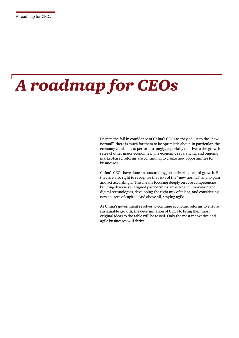# *A roadmap for CEOs*

Despite the fall in confidence of China's CEOs as they adjust to the ''new normal'', there is much for them to be optimistic about. In particular, the economy continues to perform strongly, especially relative to the growth rates of other major economies. The economic rebalancing and ongoing market-based reforms are continuing to create new opportunities for businesses.

China's CEOs have done an outstanding job delivering record growth. But they are also right to recognise the risks of the "new normal'' and to plan and act accordingly. This means focusing deeply on core competencies, building diverse yet aligned partnerships, investing in innovation and digital technologies, developing the right mix of talent, and considering new sources of capital. And above all, staying agile.

As China's government resolves to continue economic reforms to ensure sustainable growth, the determination of CEOs to bring their most original ideas to the table will be tested. Only the most innovative and agile businesses will thrive.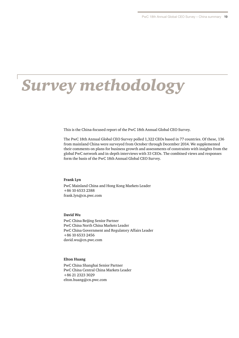## *Survey methodology*

This is the China-focused report of the PwC 18th Annual Global CEO Survey.

The PwC 18th Annual Global CEO Survey polled 1,322 CEOs based in 77 countries. Of these, 136 from mainland China were surveyed from October through December 2014. We supplemented their comments on plans for business growth and assessments of constraints with insights from the global PwC network and in-depth interviews with 33 CEOs. The combined views and responses form the basis of the PwC 18th Annual Global CEO Survey.

#### **Frank Lyn**

PwC Mainland China and Hong Kong Markets Leader +86 10 6533 2388 frank.lyn@cn.pwc.com

#### **David Wu**

PwC China Beijing Senior Partner PwC China North China Markets Leader PwC China Government and Regulatory Affairs Leader +86 10 6533 2456 david.wu@cn.pwc.com

## **Elton Huang**

PwC China Shanghai Senior Partner PwC China Central China Markets Leader +86 21 2323 3029 elton.huang@cn.pwc.com